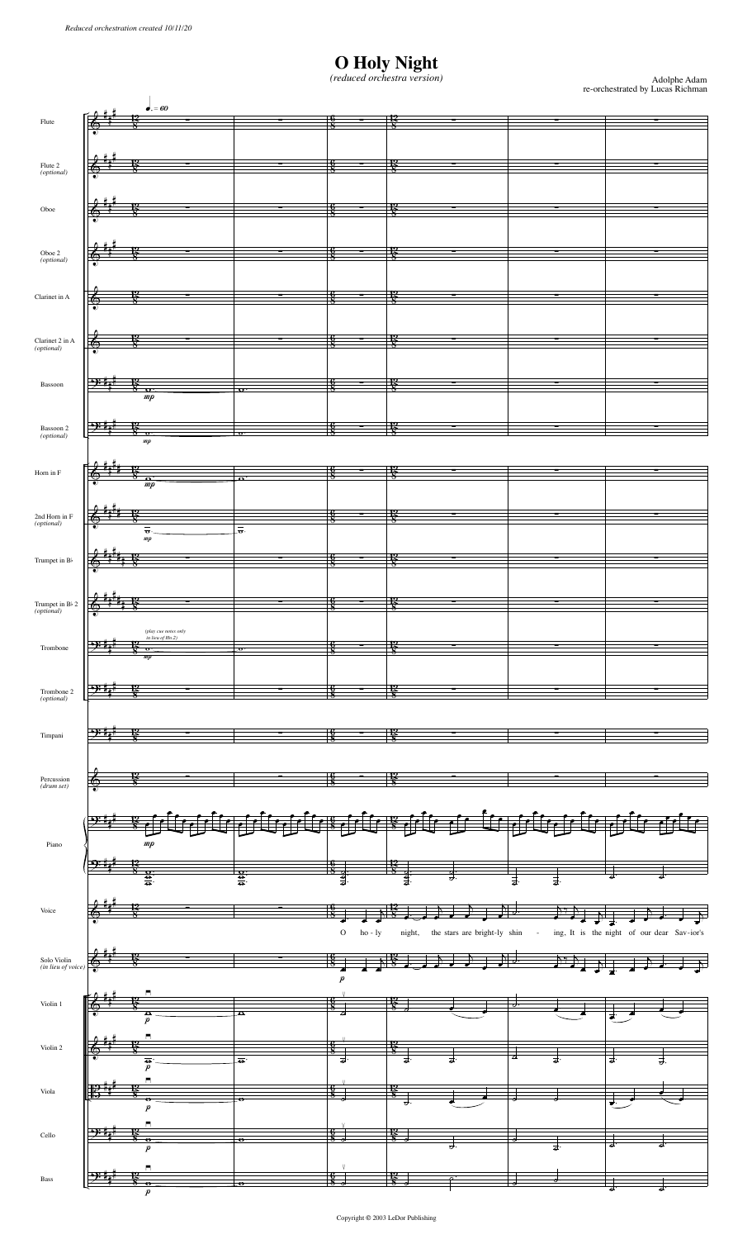## **O Holy Night** *(reduced orchestra version)*

Adolphe Adam re-orchestrated by Lucas Richman

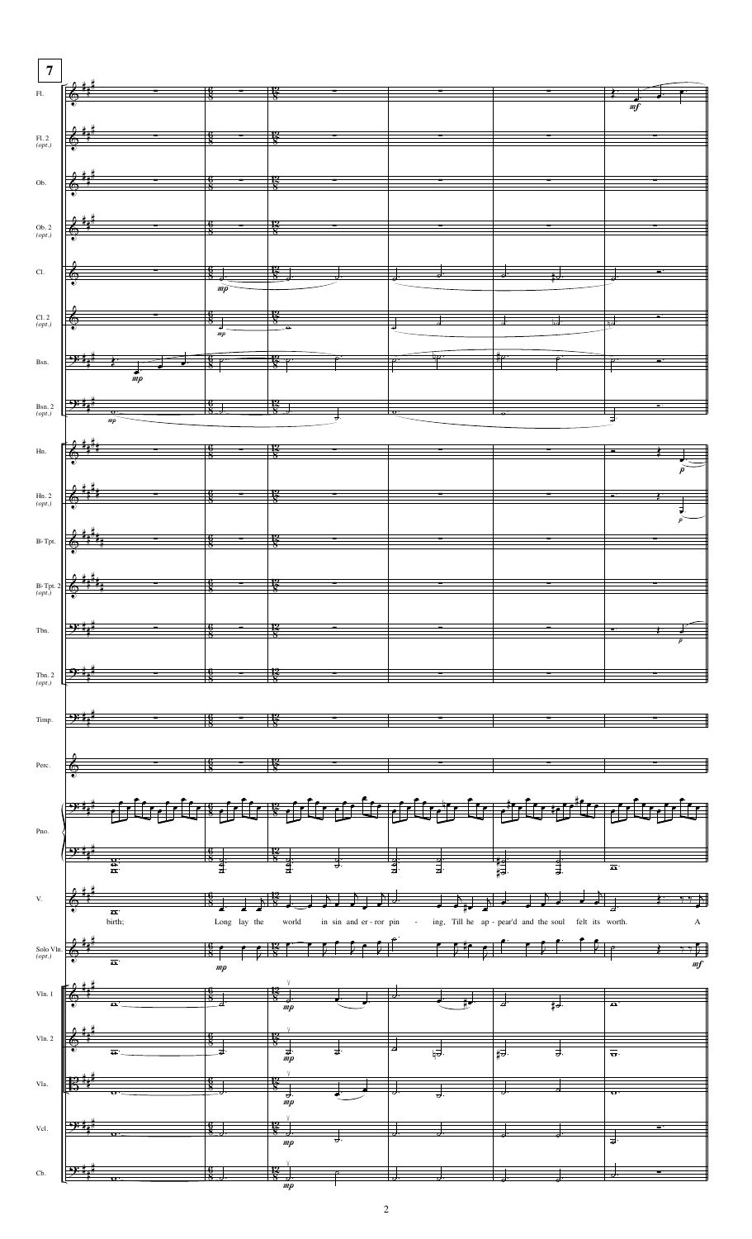| $\boldsymbol{7}$                                      |                                                                                                                                                                                                                                                                                                                                                                                                                              |                                |                 |                                                                             |               |                         |                                                                                                                                                                                                                                                                                                                                                                                                                                   |                                  |         |
|-------------------------------------------------------|------------------------------------------------------------------------------------------------------------------------------------------------------------------------------------------------------------------------------------------------------------------------------------------------------------------------------------------------------------------------------------------------------------------------------|--------------------------------|-----------------|-----------------------------------------------------------------------------|---------------|-------------------------|-----------------------------------------------------------------------------------------------------------------------------------------------------------------------------------------------------------------------------------------------------------------------------------------------------------------------------------------------------------------------------------------------------------------------------------|----------------------------------|---------|
|                                                       | F1.                                                                                                                                                                                                                                                                                                                                                                                                                          |                                |                 |                                                                             |               |                         |                                                                                                                                                                                                                                                                                                                                                                                                                                   |                                  |         |
|                                                       | $\frac{6}{8}$                                                                                                                                                                                                                                                                                                                                                                                                                |                                | $\frac{12}{8}$  |                                                                             |               |                         |                                                                                                                                                                                                                                                                                                                                                                                                                                   |                                  |         |
|                                                       |                                                                                                                                                                                                                                                                                                                                                                                                                              |                                |                 |                                                                             |               |                         |                                                                                                                                                                                                                                                                                                                                                                                                                                   | $\eta f$                         |         |
|                                                       |                                                                                                                                                                                                                                                                                                                                                                                                                              |                                |                 |                                                                             |               |                         |                                                                                                                                                                                                                                                                                                                                                                                                                                   |                                  |         |
| $F1.2$<br>(opt.)                                      | $\left  \begin{array}{ccc} 0 & 1 & 1 \\ 0 & 0 & 1 \end{array} \right $ $\left  \begin{array}{ccc} 0 & 1 & 1 \\ 0 & 0 & 1 \end{array} \right $                                                                                                                                                                                                                                                                                |                                |                 |                                                                             |               |                         |                                                                                                                                                                                                                                                                                                                                                                                                                                   |                                  |         |
|                                                       |                                                                                                                                                                                                                                                                                                                                                                                                                              |                                |                 |                                                                             |               |                         |                                                                                                                                                                                                                                                                                                                                                                                                                                   |                                  |         |
|                                                       |                                                                                                                                                                                                                                                                                                                                                                                                                              |                                |                 |                                                                             |               |                         |                                                                                                                                                                                                                                                                                                                                                                                                                                   |                                  |         |
|                                                       | $\frac{2}{9}$ $\frac{1}{9}$ $\frac{1}{9}$ $\frac{1}{9}$ $\frac{1}{9}$ $\frac{1}{9}$ $\frac{1}{9}$ $\frac{1}{9}$ $\frac{1}{9}$ $\frac{1}{9}$ $\frac{1}{9}$ $\frac{1}{9}$ $\frac{1}{9}$ $\frac{1}{9}$ $\frac{1}{9}$ $\frac{1}{9}$ $\frac{1}{9}$ $\frac{1}{9}$ $\frac{1}{9}$ $\frac{1}{9}$ $\frac{1}{9}$ $\frac{1}{9}$                                                                                                          |                                |                 |                                                                             |               |                         |                                                                                                                                                                                                                                                                                                                                                                                                                                   |                                  |         |
| Ob.                                                   |                                                                                                                                                                                                                                                                                                                                                                                                                              |                                |                 |                                                                             |               |                         |                                                                                                                                                                                                                                                                                                                                                                                                                                   |                                  |         |
|                                                       |                                                                                                                                                                                                                                                                                                                                                                                                                              |                                |                 |                                                                             |               |                         |                                                                                                                                                                                                                                                                                                                                                                                                                                   |                                  |         |
|                                                       |                                                                                                                                                                                                                                                                                                                                                                                                                              |                                |                 |                                                                             |               |                         |                                                                                                                                                                                                                                                                                                                                                                                                                                   |                                  |         |
|                                                       |                                                                                                                                                                                                                                                                                                                                                                                                                              |                                |                 |                                                                             |               |                         |                                                                                                                                                                                                                                                                                                                                                                                                                                   |                                  |         |
| $\begin{array}{c} \text{Ob. 2} \\ (opt.) \end{array}$ | $\begin{array}{ccc} 2 & 1 & 1 & 1 \\ 6 & 1 & 8 & 1 \end{array}$                                                                                                                                                                                                                                                                                                                                                              |                                |                 |                                                                             |               |                         |                                                                                                                                                                                                                                                                                                                                                                                                                                   |                                  |         |
|                                                       |                                                                                                                                                                                                                                                                                                                                                                                                                              |                                |                 |                                                                             |               |                         |                                                                                                                                                                                                                                                                                                                                                                                                                                   |                                  |         |
|                                                       |                                                                                                                                                                                                                                                                                                                                                                                                                              |                                |                 |                                                                             |               |                         |                                                                                                                                                                                                                                                                                                                                                                                                                                   |                                  |         |
|                                                       |                                                                                                                                                                                                                                                                                                                                                                                                                              |                                |                 |                                                                             |               |                         |                                                                                                                                                                                                                                                                                                                                                                                                                                   |                                  |         |
| $\operatorname{Cl}.$                                  | $\begin{array}{ c c c c c }\hline \textbf{6} & \textbf{8} & \textbf{12} \\ \hline \textbf{9} & \textbf{8} & \textbf{8} \\ \hline \end{array}$                                                                                                                                                                                                                                                                                |                                |                 |                                                                             |               |                         | $\frac{1}{2}$ , $\frac{1}{2}$ , $\frac{1}{2}$ , $\frac{1}{2}$ , $\frac{1}{2}$ , $\frac{1}{2}$ , $\frac{1}{2}$                                                                                                                                                                                                                                                                                                                     |                                  |         |
|                                                       |                                                                                                                                                                                                                                                                                                                                                                                                                              | $\overrightarrow{mp}$          |                 |                                                                             |               |                         |                                                                                                                                                                                                                                                                                                                                                                                                                                   |                                  |         |
|                                                       |                                                                                                                                                                                                                                                                                                                                                                                                                              |                                |                 |                                                                             |               |                         |                                                                                                                                                                                                                                                                                                                                                                                                                                   |                                  |         |
|                                                       |                                                                                                                                                                                                                                                                                                                                                                                                                              |                                |                 |                                                                             |               |                         |                                                                                                                                                                                                                                                                                                                                                                                                                                   |                                  |         |
| $\mathop{{\rm Cl.}\,2}\limits_{\mathop{(opt.)}}$      |                                                                                                                                                                                                                                                                                                                                                                                                                              |                                |                 |                                                                             |               |                         |                                                                                                                                                                                                                                                                                                                                                                                                                                   |                                  |         |
|                                                       |                                                                                                                                                                                                                                                                                                                                                                                                                              |                                |                 |                                                                             |               |                         |                                                                                                                                                                                                                                                                                                                                                                                                                                   |                                  |         |
|                                                       |                                                                                                                                                                                                                                                                                                                                                                                                                              |                                |                 |                                                                             |               |                         |                                                                                                                                                                                                                                                                                                                                                                                                                                   |                                  |         |
|                                                       | Bsn. $9.44 +  + 8.8$ 8                                                                                                                                                                                                                                                                                                                                                                                                       |                                |                 |                                                                             |               |                         |                                                                                                                                                                                                                                                                                                                                                                                                                                   | $\mathsf{P}$                     |         |
|                                                       |                                                                                                                                                                                                                                                                                                                                                                                                                              |                                |                 |                                                                             |               |                         |                                                                                                                                                                                                                                                                                                                                                                                                                                   |                                  |         |
|                                                       |                                                                                                                                                                                                                                                                                                                                                                                                                              |                                |                 |                                                                             |               |                         |                                                                                                                                                                                                                                                                                                                                                                                                                                   |                                  |         |
|                                                       |                                                                                                                                                                                                                                                                                                                                                                                                                              |                                |                 |                                                                             |               |                         |                                                                                                                                                                                                                                                                                                                                                                                                                                   |                                  |         |
|                                                       |                                                                                                                                                                                                                                                                                                                                                                                                                              |                                |                 |                                                                             |               |                         |                                                                                                                                                                                                                                                                                                                                                                                                                                   |                                  |         |
|                                                       | Bsn. 2 $\frac{3p+1}{p+1}$ $\frac{4}{p}$ $\frac{4}{p}$ $\frac{4}{p}$ $\frac{4}{p}$ $\frac{4}{p}$ $\frac{4}{p}$ $\frac{4}{p}$ $\frac{4}{p}$ $\frac{4}{p}$ $\frac{4}{p}$ $\frac{4}{p}$ $\frac{4}{p}$ $\frac{4}{p}$ $\frac{4}{p}$ $\frac{4}{p}$ $\frac{4}{p}$ $\frac{4}{p}$ $\frac{4}{p}$ $\frac{4}{p}$ $\frac{4}{p}$                                                                                                            |                                |                 |                                                                             |               |                         |                                                                                                                                                                                                                                                                                                                                                                                                                                   |                                  |         |
|                                                       |                                                                                                                                                                                                                                                                                                                                                                                                                              |                                |                 |                                                                             |               |                         |                                                                                                                                                                                                                                                                                                                                                                                                                                   |                                  |         |
|                                                       |                                                                                                                                                                                                                                                                                                                                                                                                                              |                                |                 |                                                                             |               |                         |                                                                                                                                                                                                                                                                                                                                                                                                                                   |                                  |         |
| Hn.                                                   | $\left \begin{array}{ccc} 2 & 4 & 4 & 4 & 8 \\ 6 & 4 & 4 & 8 & 8 \end{array}\right $                                                                                                                                                                                                                                                                                                                                         |                                |                 |                                                                             |               |                         |                                                                                                                                                                                                                                                                                                                                                                                                                                   | É                                |         |
|                                                       |                                                                                                                                                                                                                                                                                                                                                                                                                              |                                |                 |                                                                             |               |                         |                                                                                                                                                                                                                                                                                                                                                                                                                                   |                                  |         |
|                                                       |                                                                                                                                                                                                                                                                                                                                                                                                                              |                                |                 |                                                                             |               |                         |                                                                                                                                                                                                                                                                                                                                                                                                                                   |                                  |         |
|                                                       |                                                                                                                                                                                                                                                                                                                                                                                                                              |                                |                 |                                                                             |               |                         |                                                                                                                                                                                                                                                                                                                                                                                                                                   |                                  |         |
| $Hn. 2$<br>(opt.)                                     |                                                                                                                                                                                                                                                                                                                                                                                                                              |                                |                 |                                                                             |               |                         |                                                                                                                                                                                                                                                                                                                                                                                                                                   |                                  | $\cdot$ |
|                                                       |                                                                                                                                                                                                                                                                                                                                                                                                                              |                                |                 |                                                                             |               |                         |                                                                                                                                                                                                                                                                                                                                                                                                                                   |                                  |         |
|                                                       |                                                                                                                                                                                                                                                                                                                                                                                                                              |                                |                 |                                                                             |               |                         |                                                                                                                                                                                                                                                                                                                                                                                                                                   |                                  |         |
|                                                       | B) Tpt. $\left  \begin{array}{ccc} \frac{2}{\sqrt{3}} & \frac{1}{4} & \frac{1}{4} \\ \frac{1}{\sqrt{3}} & \frac{1}{4} & \frac{1}{4} \\ \frac{1}{\sqrt{3}} & \frac{1}{4} & \frac{1}{4} \\ \frac{1}{\sqrt{3}} & \frac{1}{4} & \frac{1}{4} \\ \frac{1}{\sqrt{3}} & \frac{1}{4} & \frac{1}{4} \\ \frac{1}{\sqrt{3}} & \frac{1}{4} & \frac{1}{4} \\ \frac{1}{\sqrt{3}} & \frac{1}{4} & \frac{1}{4} \\ \frac{1}{\sqrt{3}} & \frac$ |                                |                 |                                                                             |               |                         |                                                                                                                                                                                                                                                                                                                                                                                                                                   |                                  |         |
|                                                       |                                                                                                                                                                                                                                                                                                                                                                                                                              |                                |                 |                                                                             |               |                         |                                                                                                                                                                                                                                                                                                                                                                                                                                   |                                  |         |
|                                                       |                                                                                                                                                                                                                                                                                                                                                                                                                              |                                |                 |                                                                             |               |                         |                                                                                                                                                                                                                                                                                                                                                                                                                                   |                                  |         |
|                                                       |                                                                                                                                                                                                                                                                                                                                                                                                                              |                                |                 |                                                                             |               |                         |                                                                                                                                                                                                                                                                                                                                                                                                                                   |                                  |         |
|                                                       |                                                                                                                                                                                                                                                                                                                                                                                                                              |                                |                 |                                                                             |               |                         |                                                                                                                                                                                                                                                                                                                                                                                                                                   |                                  |         |
| $B \triangleright$ Tpt. 2<br>( <i>opt.</i> )          |                                                                                                                                                                                                                                                                                                                                                                                                                              | $\frac{6}{8}$ – $\frac{12}{8}$ |                 |                                                                             |               |                         |                                                                                                                                                                                                                                                                                                                                                                                                                                   |                                  |         |
|                                                       |                                                                                                                                                                                                                                                                                                                                                                                                                              |                                |                 |                                                                             |               |                         |                                                                                                                                                                                                                                                                                                                                                                                                                                   |                                  |         |
|                                                       |                                                                                                                                                                                                                                                                                                                                                                                                                              |                                |                 |                                                                             |               |                         |                                                                                                                                                                                                                                                                                                                                                                                                                                   |                                  |         |
| Tbn.                                                  |                                                                                                                                                                                                                                                                                                                                                                                                                              |                                |                 |                                                                             |               |                         |                                                                                                                                                                                                                                                                                                                                                                                                                                   |                                  |         |
|                                                       |                                                                                                                                                                                                                                                                                                                                                                                                                              |                                |                 |                                                                             |               |                         |                                                                                                                                                                                                                                                                                                                                                                                                                                   |                                  |         |
|                                                       |                                                                                                                                                                                                                                                                                                                                                                                                                              |                                |                 |                                                                             |               |                         |                                                                                                                                                                                                                                                                                                                                                                                                                                   |                                  |         |
|                                                       |                                                                                                                                                                                                                                                                                                                                                                                                                              |                                |                 |                                                                             |               |                         |                                                                                                                                                                                                                                                                                                                                                                                                                                   |                                  |         |
|                                                       |                                                                                                                                                                                                                                                                                                                                                                                                                              |                                |                 |                                                                             |               |                         |                                                                                                                                                                                                                                                                                                                                                                                                                                   |                                  |         |
| Tbn. 2 $(\rho pt.)$                                   |                                                                                                                                                                                                                                                                                                                                                                                                                              |                                |                 |                                                                             |               |                         |                                                                                                                                                                                                                                                                                                                                                                                                                                   |                                  |         |
|                                                       |                                                                                                                                                                                                                                                                                                                                                                                                                              |                                |                 |                                                                             |               |                         |                                                                                                                                                                                                                                                                                                                                                                                                                                   |                                  |         |
|                                                       |                                                                                                                                                                                                                                                                                                                                                                                                                              |                                |                 |                                                                             |               |                         |                                                                                                                                                                                                                                                                                                                                                                                                                                   |                                  |         |
| Timp.                                                 |                                                                                                                                                                                                                                                                                                                                                                                                                              |                                |                 |                                                                             |               |                         |                                                                                                                                                                                                                                                                                                                                                                                                                                   |                                  |         |
|                                                       |                                                                                                                                                                                                                                                                                                                                                                                                                              |                                |                 |                                                                             |               |                         |                                                                                                                                                                                                                                                                                                                                                                                                                                   |                                  |         |
|                                                       |                                                                                                                                                                                                                                                                                                                                                                                                                              |                                |                 |                                                                             |               |                         |                                                                                                                                                                                                                                                                                                                                                                                                                                   |                                  |         |
|                                                       |                                                                                                                                                                                                                                                                                                                                                                                                                              |                                |                 |                                                                             |               |                         |                                                                                                                                                                                                                                                                                                                                                                                                                                   |                                  |         |
| Perc.                                                 |                                                                                                                                                                                                                                                                                                                                                                                                                              |                                |                 |                                                                             |               |                         |                                                                                                                                                                                                                                                                                                                                                                                                                                   |                                  |         |
|                                                       |                                                                                                                                                                                                                                                                                                                                                                                                                              |                                |                 |                                                                             |               |                         |                                                                                                                                                                                                                                                                                                                                                                                                                                   |                                  |         |
|                                                       |                                                                                                                                                                                                                                                                                                                                                                                                                              |                                |                 |                                                                             |               |                         |                                                                                                                                                                                                                                                                                                                                                                                                                                   |                                  |         |
|                                                       |                                                                                                                                                                                                                                                                                                                                                                                                                              |                                |                 |                                                                             |               |                         |                                                                                                                                                                                                                                                                                                                                                                                                                                   |                                  |         |
|                                                       |                                                                                                                                                                                                                                                                                                                                                                                                                              |                                |                 |                                                                             |               |                         |                                                                                                                                                                                                                                                                                                                                                                                                                                   |                                  | ا ممکن  |
|                                                       |                                                                                                                                                                                                                                                                                                                                                                                                                              |                                |                 |                                                                             |               |                         |                                                                                                                                                                                                                                                                                                                                                                                                                                   |                                  |         |
| Pno.                                                  |                                                                                                                                                                                                                                                                                                                                                                                                                              |                                |                 |                                                                             |               |                         |                                                                                                                                                                                                                                                                                                                                                                                                                                   |                                  |         |
|                                                       |                                                                                                                                                                                                                                                                                                                                                                                                                              |                                |                 |                                                                             |               |                         |                                                                                                                                                                                                                                                                                                                                                                                                                                   |                                  |         |
|                                                       |                                                                                                                                                                                                                                                                                                                                                                                                                              |                                |                 |                                                                             |               |                         |                                                                                                                                                                                                                                                                                                                                                                                                                                   |                                  |         |
|                                                       |                                                                                                                                                                                                                                                                                                                                                                                                                              |                                |                 |                                                                             |               |                         |                                                                                                                                                                                                                                                                                                                                                                                                                                   | $\overline{\mathbf{e}}$          |         |
|                                                       |                                                                                                                                                                                                                                                                                                                                                                                                                              |                                |                 |                                                                             |               |                         |                                                                                                                                                                                                                                                                                                                                                                                                                                   |                                  |         |
| V.                                                    |                                                                                                                                                                                                                                                                                                                                                                                                                              |                                |                 |                                                                             |               |                         |                                                                                                                                                                                                                                                                                                                                                                                                                                   |                                  |         |
|                                                       |                                                                                                                                                                                                                                                                                                                                                                                                                              |                                |                 |                                                                             | ╝╝            |                         | $\frac{1}{\sqrt{1+\frac{1}{\sqrt{1+\frac{1}{\sqrt{1+\frac{1}{\sqrt{1+\frac{1}{\sqrt{1+\frac{1}{\sqrt{1+\frac{1}{\sqrt{1+\frac{1}{\sqrt{1+\frac{1}{\sqrt{1+\frac{1}{\sqrt{1+\frac{1}{\sqrt{1+\frac{1}{\sqrt{1+\frac{1}{\sqrt{1+\frac{1}{\sqrt{1+\frac{1}{\sqrt{1+\frac{1}{\sqrt{1+\frac{1}{\sqrt{1+\frac{1}{\sqrt{1+\frac{1}{\sqrt{1+\frac{1}{\sqrt{1+\frac{1}{\sqrt{1+\frac{1}{\sqrt{1+\frac{1}{\sqrt{1+\frac{1}{\sqrt{1+\frac{1$ |                                  |         |
|                                                       | $\overline{\bullet}$<br>birth;                                                                                                                                                                                                                                                                                                                                                                                               | Long lay the                   | world           | in sin and er-ror pin - ing, Till he ap-pear'd and the soul felt its worth. |               |                         |                                                                                                                                                                                                                                                                                                                                                                                                                                   |                                  | А       |
|                                                       |                                                                                                                                                                                                                                                                                                                                                                                                                              |                                |                 |                                                                             |               |                         |                                                                                                                                                                                                                                                                                                                                                                                                                                   |                                  |         |
|                                                       |                                                                                                                                                                                                                                                                                                                                                                                                                              |                                |                 |                                                                             |               |                         |                                                                                                                                                                                                                                                                                                                                                                                                                                   |                                  |         |
| Solo Vln.<br>(opt.)                                   |                                                                                                                                                                                                                                                                                                                                                                                                                              | $\frac{6}{8}$ $\sim$           |                 |                                                                             |               |                         |                                                                                                                                                                                                                                                                                                                                                                                                                                   |                                  |         |
|                                                       |                                                                                                                                                                                                                                                                                                                                                                                                                              | mp                             |                 |                                                                             |               |                         |                                                                                                                                                                                                                                                                                                                                                                                                                                   |                                  | m f     |
|                                                       |                                                                                                                                                                                                                                                                                                                                                                                                                              |                                |                 |                                                                             |               |                         |                                                                                                                                                                                                                                                                                                                                                                                                                                   |                                  |         |
|                                                       |                                                                                                                                                                                                                                                                                                                                                                                                                              |                                |                 |                                                                             |               |                         |                                                                                                                                                                                                                                                                                                                                                                                                                                   |                                  |         |
| $\mathbf{V}\mathbf{ln}.$ 1                            | $\frac{6}{8}$                                                                                                                                                                                                                                                                                                                                                                                                                |                                |                 |                                                                             |               |                         |                                                                                                                                                                                                                                                                                                                                                                                                                                   |                                  |         |
|                                                       |                                                                                                                                                                                                                                                                                                                                                                                                                              |                                | mp              |                                                                             |               |                         |                                                                                                                                                                                                                                                                                                                                                                                                                                   |                                  |         |
|                                                       |                                                                                                                                                                                                                                                                                                                                                                                                                              |                                |                 |                                                                             |               |                         |                                                                                                                                                                                                                                                                                                                                                                                                                                   |                                  |         |
| Vln. 2                                                |                                                                                                                                                                                                                                                                                                                                                                                                                              |                                |                 |                                                                             |               |                         |                                                                                                                                                                                                                                                                                                                                                                                                                                   |                                  |         |
|                                                       |                                                                                                                                                                                                                                                                                                                                                                                                                              |                                |                 |                                                                             | $\frac{1}{5}$ |                         | 급                                                                                                                                                                                                                                                                                                                                                                                                                                 |                                  |         |
|                                                       |                                                                                                                                                                                                                                                                                                                                                                                                                              |                                |                 |                                                                             |               |                         |                                                                                                                                                                                                                                                                                                                                                                                                                                   | $\overline{\overline{\sigma}}$ . |         |
|                                                       |                                                                                                                                                                                                                                                                                                                                                                                                                              |                                |                 |                                                                             |               |                         |                                                                                                                                                                                                                                                                                                                                                                                                                                   |                                  |         |
| Vla.                                                  |                                                                                                                                                                                                                                                                                                                                                                                                                              |                                |                 |                                                                             |               |                         |                                                                                                                                                                                                                                                                                                                                                                                                                                   |                                  |         |
|                                                       |                                                                                                                                                                                                                                                                                                                                                                                                                              |                                |                 |                                                                             |               |                         |                                                                                                                                                                                                                                                                                                                                                                                                                                   |                                  |         |
|                                                       |                                                                                                                                                                                                                                                                                                                                                                                                                              |                                | mp              |                                                                             |               |                         |                                                                                                                                                                                                                                                                                                                                                                                                                                   |                                  |         |
|                                                       |                                                                                                                                                                                                                                                                                                                                                                                                                              |                                |                 |                                                                             |               |                         |                                                                                                                                                                                                                                                                                                                                                                                                                                   |                                  |         |
| Vcl.                                                  |                                                                                                                                                                                                                                                                                                                                                                                                                              |                                |                 |                                                                             |               |                         |                                                                                                                                                                                                                                                                                                                                                                                                                                   |                                  |         |
|                                                       |                                                                                                                                                                                                                                                                                                                                                                                                                              |                                | $\mathfrak{m}p$ |                                                                             |               |                         |                                                                                                                                                                                                                                                                                                                                                                                                                                   |                                  |         |
|                                                       |                                                                                                                                                                                                                                                                                                                                                                                                                              |                                |                 |                                                                             |               |                         |                                                                                                                                                                                                                                                                                                                                                                                                                                   |                                  |         |
|                                                       |                                                                                                                                                                                                                                                                                                                                                                                                                              |                                |                 |                                                                             |               |                         |                                                                                                                                                                                                                                                                                                                                                                                                                                   |                                  |         |
|                                                       | Cb. $\frac{9:7}{4}$                                                                                                                                                                                                                                                                                                                                                                                                          | $\frac{16}{8}$                 | $\frac{12}{8}$  |                                                                             |               | $\overline{\partial}$ . |                                                                                                                                                                                                                                                                                                                                                                                                                                   | $\overline{\phantom{a}}$         |         |
|                                                       |                                                                                                                                                                                                                                                                                                                                                                                                                              |                                |                 |                                                                             |               |                         |                                                                                                                                                                                                                                                                                                                                                                                                                                   |                                  |         |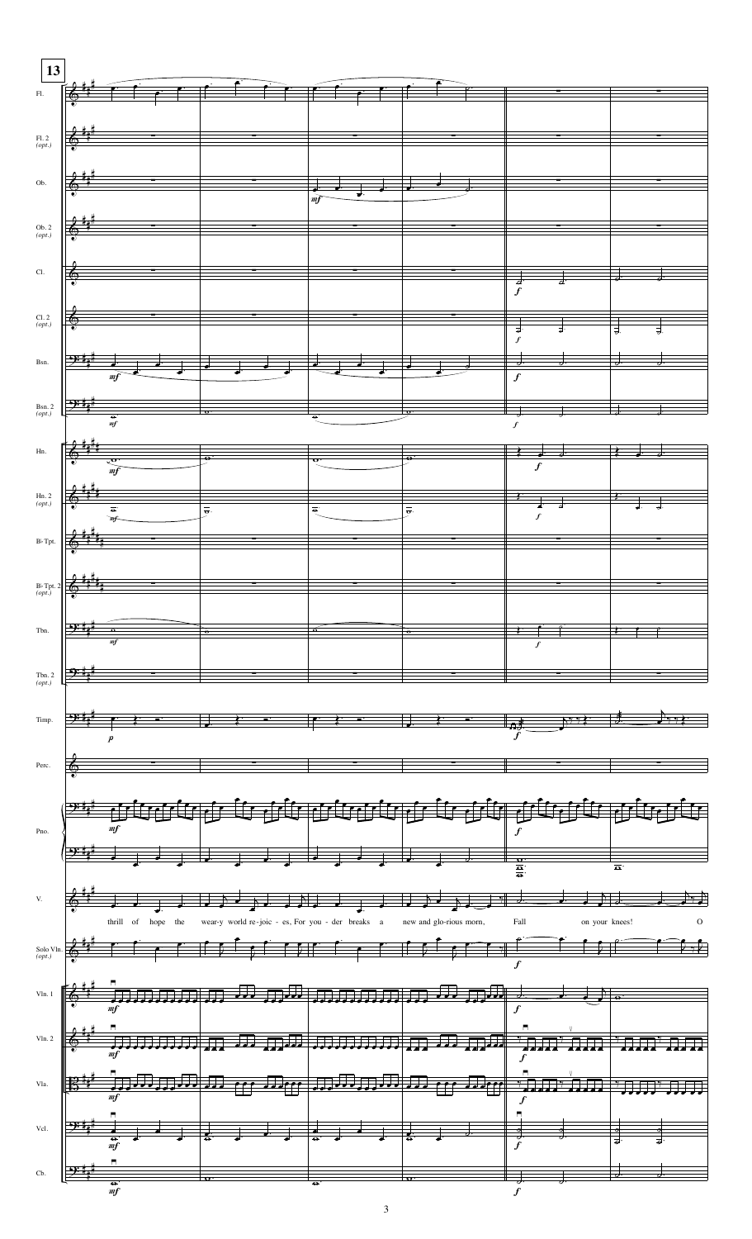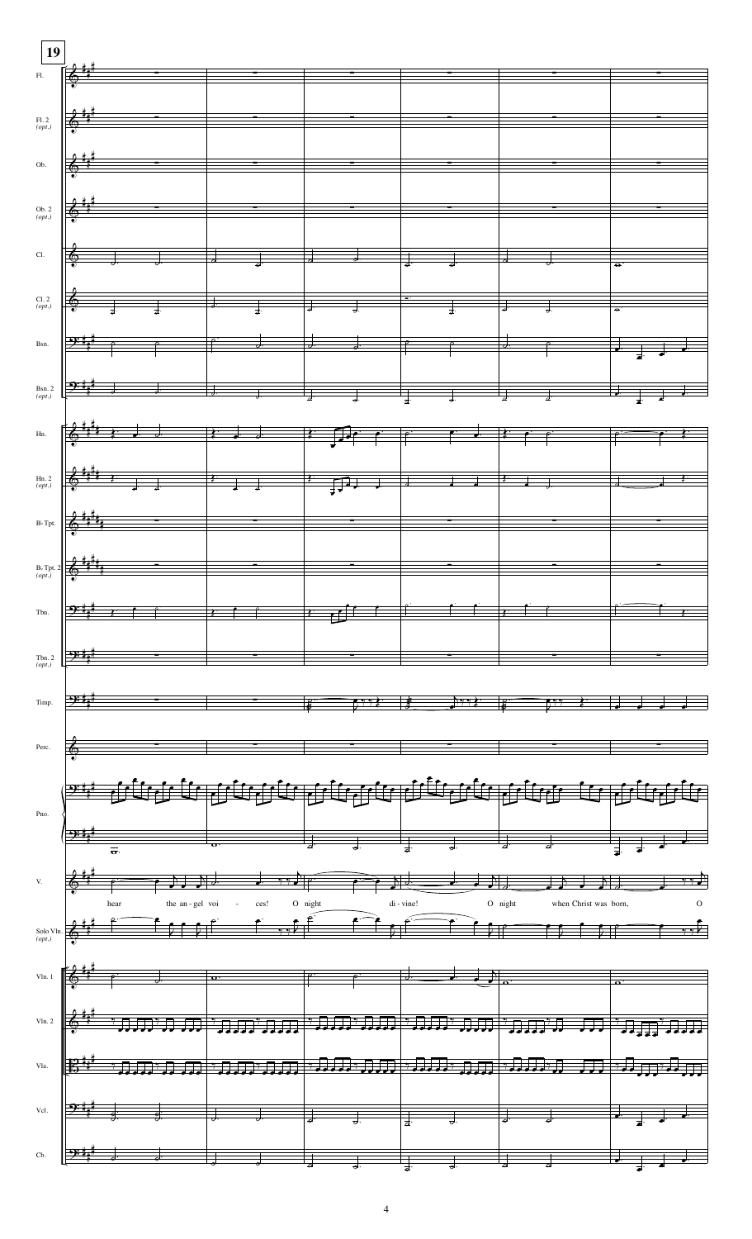| 19                        |                                                   |                                                                                                                                                                                                                                                                                                                                                                                                                                                                                                                                                                                                                                                                                    |                                         |         |                      |                                                                                                                                                                                                                                                                                                                   |                      |                                                                                                                                                                                                                                                                                                                                                                                                             |                       |
|---------------------------|---------------------------------------------------|------------------------------------------------------------------------------------------------------------------------------------------------------------------------------------------------------------------------------------------------------------------------------------------------------------------------------------------------------------------------------------------------------------------------------------------------------------------------------------------------------------------------------------------------------------------------------------------------------------------------------------------------------------------------------------|-----------------------------------------|---------|----------------------|-------------------------------------------------------------------------------------------------------------------------------------------------------------------------------------------------------------------------------------------------------------------------------------------------------------------|----------------------|-------------------------------------------------------------------------------------------------------------------------------------------------------------------------------------------------------------------------------------------------------------------------------------------------------------------------------------------------------------------------------------------------------------|-----------------------|
|                           |                                                   | $F1.$ $\left[\begin{array}{ccc} \frac{\pi}{6} & \frac{\pi}{6} \\ \frac{\pi}{6} & \frac{\pi}{6} \end{array}\right]$                                                                                                                                                                                                                                                                                                                                                                                                                                                                                                                                                                 |                                         |         |                      |                                                                                                                                                                                                                                                                                                                   |                      |                                                                                                                                                                                                                                                                                                                                                                                                             |                       |
|                           |                                                   |                                                                                                                                                                                                                                                                                                                                                                                                                                                                                                                                                                                                                                                                                    |                                         |         |                      |                                                                                                                                                                                                                                                                                                                   |                      |                                                                                                                                                                                                                                                                                                                                                                                                             |                       |
|                           |                                                   |                                                                                                                                                                                                                                                                                                                                                                                                                                                                                                                                                                                                                                                                                    |                                         |         |                      |                                                                                                                                                                                                                                                                                                                   |                      |                                                                                                                                                                                                                                                                                                                                                                                                             |                       |
| $F1.2$<br>(opt.)          |                                                   | $6 +$                                                                                                                                                                                                                                                                                                                                                                                                                                                                                                                                                                                                                                                                              |                                         |         |                      |                                                                                                                                                                                                                                                                                                                   |                      |                                                                                                                                                                                                                                                                                                                                                                                                             |                       |
|                           |                                                   |                                                                                                                                                                                                                                                                                                                                                                                                                                                                                                                                                                                                                                                                                    |                                         |         |                      |                                                                                                                                                                                                                                                                                                                   |                      |                                                                                                                                                                                                                                                                                                                                                                                                             |                       |
| Ob.                       |                                                   |                                                                                                                                                                                                                                                                                                                                                                                                                                                                                                                                                                                                                                                                                    |                                         |         |                      |                                                                                                                                                                                                                                                                                                                   |                      |                                                                                                                                                                                                                                                                                                                                                                                                             |                       |
|                           |                                                   |                                                                                                                                                                                                                                                                                                                                                                                                                                                                                                                                                                                                                                                                                    |                                         |         |                      |                                                                                                                                                                                                                                                                                                                   |                      |                                                                                                                                                                                                                                                                                                                                                                                                             |                       |
|                           |                                                   |                                                                                                                                                                                                                                                                                                                                                                                                                                                                                                                                                                                                                                                                                    |                                         |         |                      |                                                                                                                                                                                                                                                                                                                   |                      |                                                                                                                                                                                                                                                                                                                                                                                                             |                       |
| $\frac{Ob. 2}{(opt.)}$    |                                                   |                                                                                                                                                                                                                                                                                                                                                                                                                                                                                                                                                                                                                                                                                    |                                         |         |                      |                                                                                                                                                                                                                                                                                                                   |                      |                                                                                                                                                                                                                                                                                                                                                                                                             |                       |
|                           |                                                   |                                                                                                                                                                                                                                                                                                                                                                                                                                                                                                                                                                                                                                                                                    |                                         |         |                      |                                                                                                                                                                                                                                                                                                                   |                      |                                                                                                                                                                                                                                                                                                                                                                                                             |                       |
| CL                        |                                                   |                                                                                                                                                                                                                                                                                                                                                                                                                                                                                                                                                                                                                                                                                    |                                         |         |                      |                                                                                                                                                                                                                                                                                                                   |                      |                                                                                                                                                                                                                                                                                                                                                                                                             |                       |
|                           |                                                   |                                                                                                                                                                                                                                                                                                                                                                                                                                                                                                                                                                                                                                                                                    |                                         |         |                      |                                                                                                                                                                                                                                                                                                                   |                      |                                                                                                                                                                                                                                                                                                                                                                                                             |                       |
|                           |                                                   |                                                                                                                                                                                                                                                                                                                                                                                                                                                                                                                                                                                                                                                                                    |                                         |         |                      |                                                                                                                                                                                                                                                                                                                   |                      |                                                                                                                                                                                                                                                                                                                                                                                                             |                       |
|                           |                                                   |                                                                                                                                                                                                                                                                                                                                                                                                                                                                                                                                                                                                                                                                                    |                                         |         |                      |                                                                                                                                                                                                                                                                                                                   |                      | Cl. 2 $\begin{array}{ c c c c c c c c c c c } \hline \multicolumn{3}{c }{\text{C1.2}} & \multicolumn{3}{c }{\text{C1.2}} & \multicolumn{3}{c }{\text{C1.2}} & \multicolumn{3}{c }{\text{C1.2}} & \multicolumn{3}{c }{\text{C1.2}} & \multicolumn{3}{c }{\text{C1.2}} & \multicolumn{3}{c }{\text{C1.2}} & \multicolumn{3}{c }{\text{C1.2}} & \multicolumn{3}{c }{\text{C1.2}} & \multicolumn{3}{c }{\$      |                       |
|                           |                                                   |                                                                                                                                                                                                                                                                                                                                                                                                                                                                                                                                                                                                                                                                                    |                                         |         |                      |                                                                                                                                                                                                                                                                                                                   |                      |                                                                                                                                                                                                                                                                                                                                                                                                             |                       |
|                           |                                                   |                                                                                                                                                                                                                                                                                                                                                                                                                                                                                                                                                                                                                                                                                    |                                         |         |                      |                                                                                                                                                                                                                                                                                                                   |                      |                                                                                                                                                                                                                                                                                                                                                                                                             |                       |
|                           |                                                   |                                                                                                                                                                                                                                                                                                                                                                                                                                                                                                                                                                                                                                                                                    |                                         |         |                      |                                                                                                                                                                                                                                                                                                                   |                      | Bsn. $\frac{1}{2}$ $\frac{1}{2}$ $\frac{1}{2}$ $\frac{1}{2}$ $\frac{1}{2}$ $\frac{1}{2}$ $\frac{1}{2}$ $\frac{1}{2}$ $\frac{1}{2}$ $\frac{1}{2}$ $\frac{1}{2}$ $\frac{1}{2}$ $\frac{1}{2}$ $\frac{1}{2}$ $\frac{1}{2}$ $\frac{1}{2}$ $\frac{1}{2}$ $\frac{1}{2}$ $\frac{1}{2}$ $\frac{1}{2}$ $\frac{1}{2}$ $\frac{1}{$                                                                                      |                       |
|                           |                                                   |                                                                                                                                                                                                                                                                                                                                                                                                                                                                                                                                                                                                                                                                                    |                                         |         |                      |                                                                                                                                                                                                                                                                                                                   |                      |                                                                                                                                                                                                                                                                                                                                                                                                             |                       |
|                           |                                                   |                                                                                                                                                                                                                                                                                                                                                                                                                                                                                                                                                                                                                                                                                    |                                         |         |                      |                                                                                                                                                                                                                                                                                                                   |                      | $Bsn.2$ $\left[\begin{array}{ccc} \frac{1}{2} & \frac{1}{2} & \frac{1}{2} \\ \frac{1}{2} & \frac{1}{2} & \frac{1}{2} \end{array}\right]$                                                                                                                                                                                                                                                                    |                       |
|                           |                                                   |                                                                                                                                                                                                                                                                                                                                                                                                                                                                                                                                                                                                                                                                                    |                                         |         |                      |                                                                                                                                                                                                                                                                                                                   |                      |                                                                                                                                                                                                                                                                                                                                                                                                             |                       |
|                           |                                                   |                                                                                                                                                                                                                                                                                                                                                                                                                                                                                                                                                                                                                                                                                    |                                         |         |                      |                                                                                                                                                                                                                                                                                                                   |                      |                                                                                                                                                                                                                                                                                                                                                                                                             |                       |
| $Hn$ .                    |                                                   |                                                                                                                                                                                                                                                                                                                                                                                                                                                                                                                                                                                                                                                                                    |                                         |         |                      |                                                                                                                                                                                                                                                                                                                   |                      | $\frac{1}{2}$ , $\frac{1}{2}$ , $\frac{1}{2}$ , $\frac{1}{2}$ , $\frac{1}{2}$ , $\frac{1}{2}$ , $\frac{1}{2}$ , $\frac{1}{2}$ , $\frac{1}{2}$ , $\frac{1}{2}$ , $\frac{1}{2}$ , $\frac{1}{2}$ , $\frac{1}{2}$ , $\frac{1}{2}$ , $\frac{1}{2}$ , $\frac{1}{2}$                                                                                                                                               |                       |
|                           |                                                   |                                                                                                                                                                                                                                                                                                                                                                                                                                                                                                                                                                                                                                                                                    |                                         |         |                      |                                                                                                                                                                                                                                                                                                                   |                      |                                                                                                                                                                                                                                                                                                                                                                                                             |                       |
|                           |                                                   |                                                                                                                                                                                                                                                                                                                                                                                                                                                                                                                                                                                                                                                                                    |                                         |         |                      |                                                                                                                                                                                                                                                                                                                   |                      |                                                                                                                                                                                                                                                                                                                                                                                                             |                       |
|                           |                                                   |                                                                                                                                                                                                                                                                                                                                                                                                                                                                                                                                                                                                                                                                                    |                                         |         |                      |                                                                                                                                                                                                                                                                                                                   |                      |                                                                                                                                                                                                                                                                                                                                                                                                             |                       |
|                           |                                                   |                                                                                                                                                                                                                                                                                                                                                                                                                                                                                                                                                                                                                                                                                    |                                         |         |                      |                                                                                                                                                                                                                                                                                                                   |                      |                                                                                                                                                                                                                                                                                                                                                                                                             |                       |
|                           |                                                   | $B_3$ Tpt. $\left \left\{\begin{array}{c} \frac{1}{2} & \frac{1}{2} \\ 0 & \frac{1}{2} \end{array}\right.\right $                                                                                                                                                                                                                                                                                                                                                                                                                                                                                                                                                                  |                                         |         |                      |                                                                                                                                                                                                                                                                                                                   |                      |                                                                                                                                                                                                                                                                                                                                                                                                             |                       |
|                           |                                                   |                                                                                                                                                                                                                                                                                                                                                                                                                                                                                                                                                                                                                                                                                    |                                         |         |                      |                                                                                                                                                                                                                                                                                                                   |                      |                                                                                                                                                                                                                                                                                                                                                                                                             |                       |
|                           | $\frac{B\flat \mathrm{Tr}1}{\langle opt.\rangle}$ |                                                                                                                                                                                                                                                                                                                                                                                                                                                                                                                                                                                                                                                                                    | Ξ                                       |         |                      |                                                                                                                                                                                                                                                                                                                   |                      |                                                                                                                                                                                                                                                                                                                                                                                                             |                       |
|                           |                                                   |                                                                                                                                                                                                                                                                                                                                                                                                                                                                                                                                                                                                                                                                                    |                                         |         |                      |                                                                                                                                                                                                                                                                                                                   |                      |                                                                                                                                                                                                                                                                                                                                                                                                             |                       |
|                           |                                                   |                                                                                                                                                                                                                                                                                                                                                                                                                                                                                                                                                                                                                                                                                    |                                         |         |                      |                                                                                                                                                                                                                                                                                                                   |                      |                                                                                                                                                                                                                                                                                                                                                                                                             |                       |
| Tbn.                      |                                                   |                                                                                                                                                                                                                                                                                                                                                                                                                                                                                                                                                                                                                                                                                    |                                         |         |                      |                                                                                                                                                                                                                                                                                                                   |                      |                                                                                                                                                                                                                                                                                                                                                                                                             |                       |
|                           |                                                   |                                                                                                                                                                                                                                                                                                                                                                                                                                                                                                                                                                                                                                                                                    |                                         |         |                      |                                                                                                                                                                                                                                                                                                                   |                      |                                                                                                                                                                                                                                                                                                                                                                                                             |                       |
| Tbn. 2<br>$(\text{opt.})$ |                                                   |                                                                                                                                                                                                                                                                                                                                                                                                                                                                                                                                                                                                                                                                                    |                                         |         |                      |                                                                                                                                                                                                                                                                                                                   |                      |                                                                                                                                                                                                                                                                                                                                                                                                             |                       |
|                           |                                                   |                                                                                                                                                                                                                                                                                                                                                                                                                                                                                                                                                                                                                                                                                    |                                         |         |                      |                                                                                                                                                                                                                                                                                                                   |                      |                                                                                                                                                                                                                                                                                                                                                                                                             |                       |
|                           |                                                   |                                                                                                                                                                                                                                                                                                                                                                                                                                                                                                                                                                                                                                                                                    |                                         |         |                      |                                                                                                                                                                                                                                                                                                                   |                      |                                                                                                                                                                                                                                                                                                                                                                                                             |                       |
| Timp.                     |                                                   |                                                                                                                                                                                                                                                                                                                                                                                                                                                                                                                                                                                                                                                                                    |                                         |         |                      |                                                                                                                                                                                                                                                                                                                   |                      |                                                                                                                                                                                                                                                                                                                                                                                                             |                       |
|                           |                                                   |                                                                                                                                                                                                                                                                                                                                                                                                                                                                                                                                                                                                                                                                                    |                                         |         |                      |                                                                                                                                                                                                                                                                                                                   |                      |                                                                                                                                                                                                                                                                                                                                                                                                             |                       |
| Perc.                     |                                                   |                                                                                                                                                                                                                                                                                                                                                                                                                                                                                                                                                                                                                                                                                    |                                         |         |                      |                                                                                                                                                                                                                                                                                                                   |                      |                                                                                                                                                                                                                                                                                                                                                                                                             |                       |
|                           |                                                   |                                                                                                                                                                                                                                                                                                                                                                                                                                                                                                                                                                                                                                                                                    |                                         |         |                      |                                                                                                                                                                                                                                                                                                                   |                      |                                                                                                                                                                                                                                                                                                                                                                                                             |                       |
|                           |                                                   |                                                                                                                                                                                                                                                                                                                                                                                                                                                                                                                                                                                                                                                                                    |                                         |         |                      |                                                                                                                                                                                                                                                                                                                   |                      |                                                                                                                                                                                                                                                                                                                                                                                                             |                       |
|                           |                                                   |                                                                                                                                                                                                                                                                                                                                                                                                                                                                                                                                                                                                                                                                                    |                                         |         |                      |                                                                                                                                                                                                                                                                                                                   |                      | فألاف لا والأقوان والمولودان والأخاذ والأمن الدرافانية                                                                                                                                                                                                                                                                                                                                                      |                       |
| Pno.                      |                                                   |                                                                                                                                                                                                                                                                                                                                                                                                                                                                                                                                                                                                                                                                                    |                                         |         |                      |                                                                                                                                                                                                                                                                                                                   |                      |                                                                                                                                                                                                                                                                                                                                                                                                             |                       |
|                           |                                                   |                                                                                                                                                                                                                                                                                                                                                                                                                                                                                                                                                                                                                                                                                    |                                         |         |                      |                                                                                                                                                                                                                                                                                                                   |                      |                                                                                                                                                                                                                                                                                                                                                                                                             |                       |
|                           |                                                   |                                                                                                                                                                                                                                                                                                                                                                                                                                                                                                                                                                                                                                                                                    |                                         |         |                      |                                                                                                                                                                                                                                                                                                                   | $\frac{1}{\sigma}$ . | $\overline{a}$ .                                                                                                                                                                                                                                                                                                                                                                                            |                       |
|                           |                                                   |                                                                                                                                                                                                                                                                                                                                                                                                                                                                                                                                                                                                                                                                                    |                                         |         |                      |                                                                                                                                                                                                                                                                                                                   |                      |                                                                                                                                                                                                                                                                                                                                                                                                             |                       |
| $\mathbf{V}_{\cdot}$      |                                                   |                                                                                                                                                                                                                                                                                                                                                                                                                                                                                                                                                                                                                                                                                    | $\bullet$ $\bullet$ $\bullet$ $\bullet$ |         | $\overrightarrow{ }$ | $\sum_{i=1}^{n}$                                                                                                                                                                                                                                                                                                  |                      |                                                                                                                                                                                                                                                                                                                                                                                                             |                       |
|                           |                                                   | the an-gel voi                                                                                                                                                                                                                                                                                                                                                                                                                                                                                                                                                                                                                                                                     | ces!                                    | O night |                      | di - vine!                                                                                                                                                                                                                                                                                                        | O night              | when Christ was born,                                                                                                                                                                                                                                                                                                                                                                                       | $\circ$               |
|                           |                                                   |                                                                                                                                                                                                                                                                                                                                                                                                                                                                                                                                                                                                                                                                                    |                                         |         |                      |                                                                                                                                                                                                                                                                                                                   |                      |                                                                                                                                                                                                                                                                                                                                                                                                             |                       |
|                           | Solo Vln.                                         |                                                                                                                                                                                                                                                                                                                                                                                                                                                                                                                                                                                                                                                                                    |                                         |         |                      | $\begin{tabular}{ c c c c } \hline \quad \quad & \quad \quad & \quad \quad & \quad \quad \\ \hline \quad \quad & \quad \quad & \quad \quad & \quad \quad \\ \hline \quad \quad & \quad \quad & \quad \quad & \quad \quad \\ \hline \quad \quad & \quad \quad & \quad \quad & \quad \quad \\ \hline \end{tabular}$ |                      |                                                                                                                                                                                                                                                                                                                                                                                                             |                       |
|                           |                                                   |                                                                                                                                                                                                                                                                                                                                                                                                                                                                                                                                                                                                                                                                                    |                                         |         |                      |                                                                                                                                                                                                                                                                                                                   |                      |                                                                                                                                                                                                                                                                                                                                                                                                             |                       |
| Vln. 1                    |                                                   | $\left[\begin{array}{ccc} \stackrel{\bullet}{\bullet} & \stackrel{\bullet}{\bullet} & \stackrel{\bullet}{\bullet} & \stackrel{\bullet}{\bullet} & \stackrel{\bullet}{\bullet} & \stackrel{\bullet}{\bullet} & \stackrel{\bullet}{\bullet} & \stackrel{\bullet}{\bullet} & \stackrel{\bullet}{\bullet} & \stackrel{\bullet}{\bullet} & \stackrel{\bullet}{\bullet} & \stackrel{\bullet}{\bullet} & \stackrel{\bullet}{\bullet} & \stackrel{\bullet}{\bullet} & \stackrel{\bullet}{\bullet} & \stackrel{\bullet}{\bullet} & \stackrel{\bullet}{\bullet} & \stackrel{\bullet}{\bullet} & \stackrel{\bullet}{\bullet} & \stackrel{\bullet}{\bullet} & \stackrel{\bullet}{\bullet} & \$ |                                         |         |                      |                                                                                                                                                                                                                                                                                                                   |                      |                                                                                                                                                                                                                                                                                                                                                                                                             |                       |
|                           |                                                   |                                                                                                                                                                                                                                                                                                                                                                                                                                                                                                                                                                                                                                                                                    |                                         |         |                      |                                                                                                                                                                                                                                                                                                                   |                      |                                                                                                                                                                                                                                                                                                                                                                                                             |                       |
|                           |                                                   |                                                                                                                                                                                                                                                                                                                                                                                                                                                                                                                                                                                                                                                                                    |                                         |         |                      |                                                                                                                                                                                                                                                                                                                   |                      |                                                                                                                                                                                                                                                                                                                                                                                                             |                       |
| Vln. 2                    |                                                   | ינגנגרי <mark>תתת יתתת '</mark> תת ת יתוח י                                                                                                                                                                                                                                                                                                                                                                                                                                                                                                                                                                                                                                        |                                         |         |                      |                                                                                                                                                                                                                                                                                                                   |                      |                                                                                                                                                                                                                                                                                                                                                                                                             | <del>"JJJJ"JJJJ</del> |
|                           |                                                   |                                                                                                                                                                                                                                                                                                                                                                                                                                                                                                                                                                                                                                                                                    |                                         |         |                      |                                                                                                                                                                                                                                                                                                                   |                      |                                                                                                                                                                                                                                                                                                                                                                                                             |                       |
| Vla.                      |                                                   |                                                                                                                                                                                                                                                                                                                                                                                                                                                                                                                                                                                                                                                                                    |                                         |         |                      |                                                                                                                                                                                                                                                                                                                   |                      |                                                                                                                                                                                                                                                                                                                                                                                                             |                       |
|                           |                                                   |                                                                                                                                                                                                                                                                                                                                                                                                                                                                                                                                                                                                                                                                                    |                                         |         |                      |                                                                                                                                                                                                                                                                                                                   |                      |                                                                                                                                                                                                                                                                                                                                                                                                             |                       |
|                           |                                                   |                                                                                                                                                                                                                                                                                                                                                                                                                                                                                                                                                                                                                                                                                    |                                         |         |                      |                                                                                                                                                                                                                                                                                                                   |                      |                                                                                                                                                                                                                                                                                                                                                                                                             |                       |
| Vcl.                      |                                                   |                                                                                                                                                                                                                                                                                                                                                                                                                                                                                                                                                                                                                                                                                    |                                         |         |                      |                                                                                                                                                                                                                                                                                                                   |                      |                                                                                                                                                                                                                                                                                                                                                                                                             |                       |
|                           |                                                   |                                                                                                                                                                                                                                                                                                                                                                                                                                                                                                                                                                                                                                                                                    |                                         |         |                      |                                                                                                                                                                                                                                                                                                                   |                      |                                                                                                                                                                                                                                                                                                                                                                                                             |                       |
|                           |                                                   |                                                                                                                                                                                                                                                                                                                                                                                                                                                                                                                                                                                                                                                                                    |                                         |         |                      |                                                                                                                                                                                                                                                                                                                   |                      |                                                                                                                                                                                                                                                                                                                                                                                                             |                       |
|                           |                                                   |                                                                                                                                                                                                                                                                                                                                                                                                                                                                                                                                                                                                                                                                                    |                                         |         |                      |                                                                                                                                                                                                                                                                                                                   |                      | Cb. $\left[\begin{array}{ccc} \frac{\sqrt{3}}{2} & \frac{1}{2} & \frac{1}{2} & \frac{1}{2} & \frac{1}{2} & \frac{1}{2} & \frac{1}{2} & \frac{1}{2} & \frac{1}{2} & \frac{1}{2} & \frac{1}{2} & \frac{1}{2} & \frac{1}{2} & \frac{1}{2} & \frac{1}{2} & \frac{1}{2} & \frac{1}{2} & \frac{1}{2} & \frac{1}{2} & \frac{1}{2} & \frac{1}{2} & \frac{1}{2} & \frac{1}{2} & \frac{1}{2} & \frac{1}{2} & \frac{1$ |                       |

4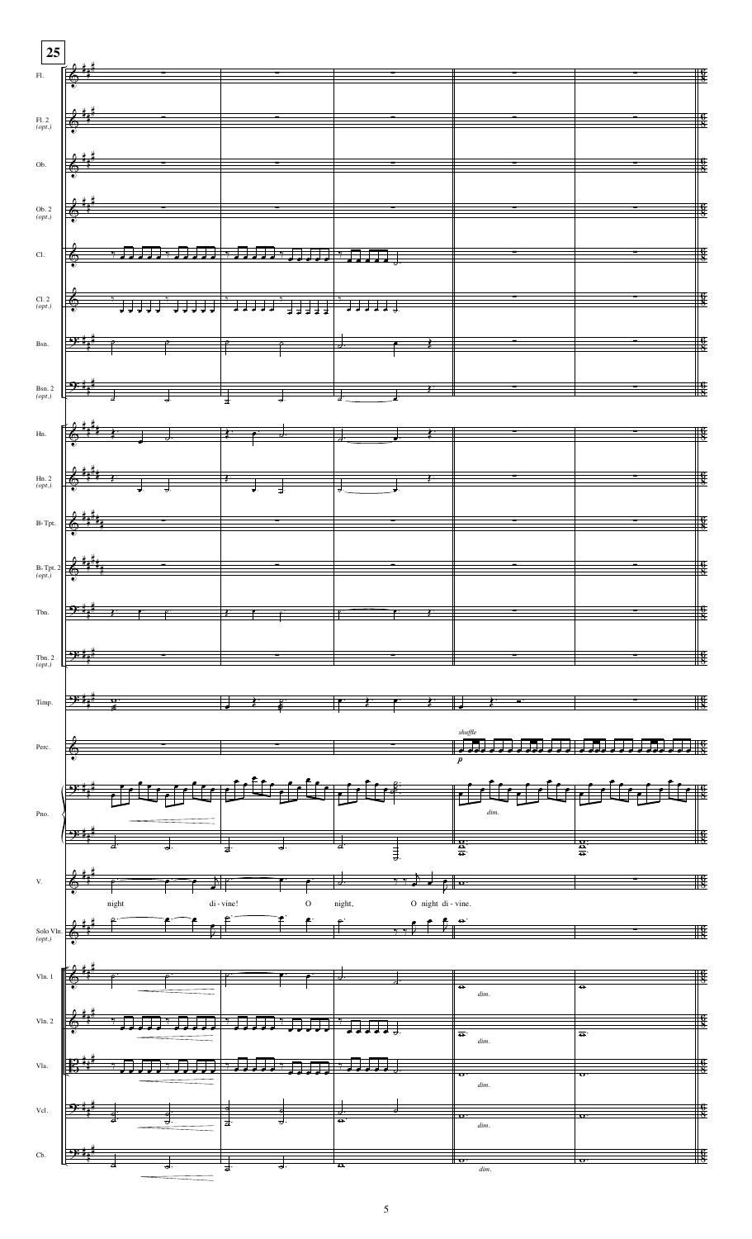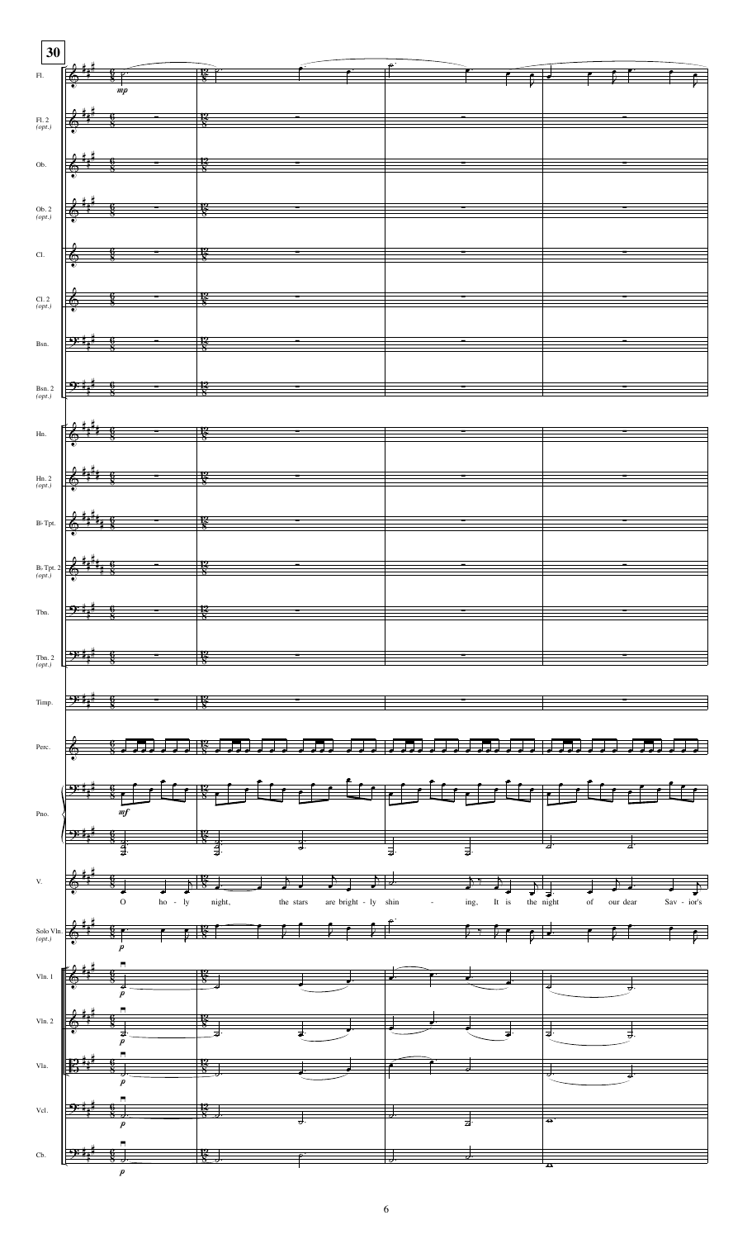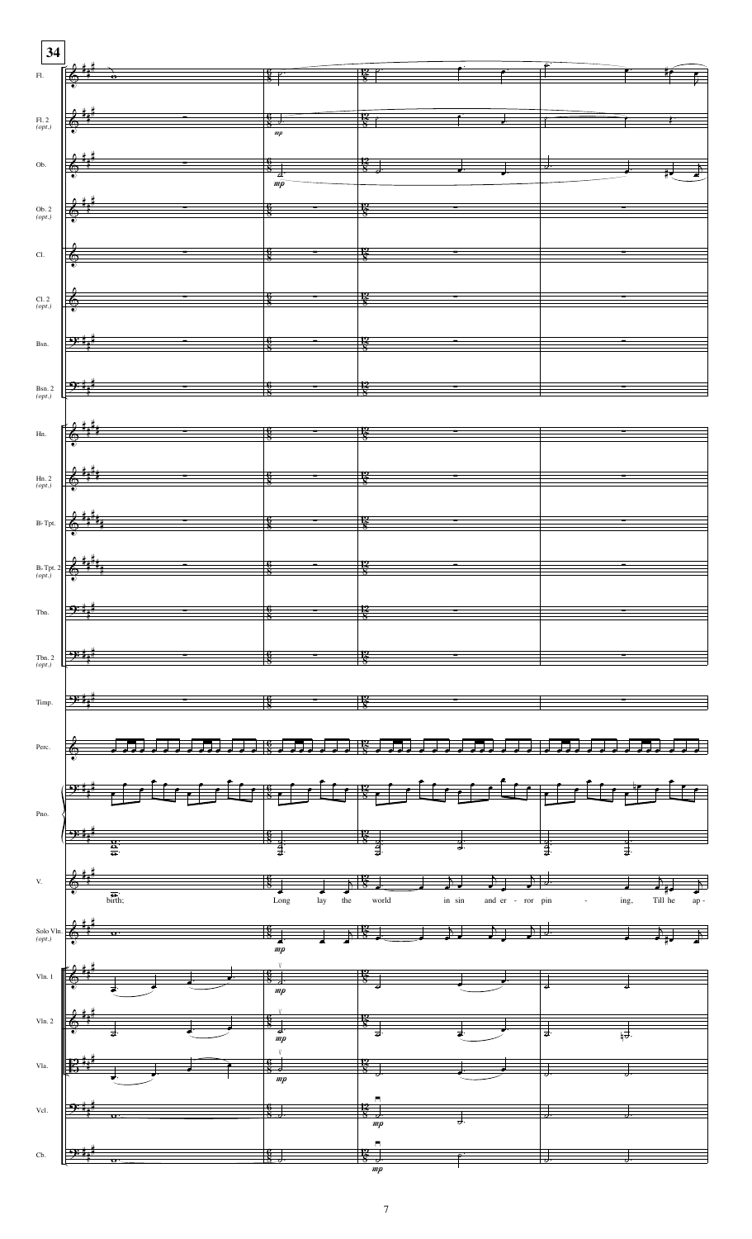

7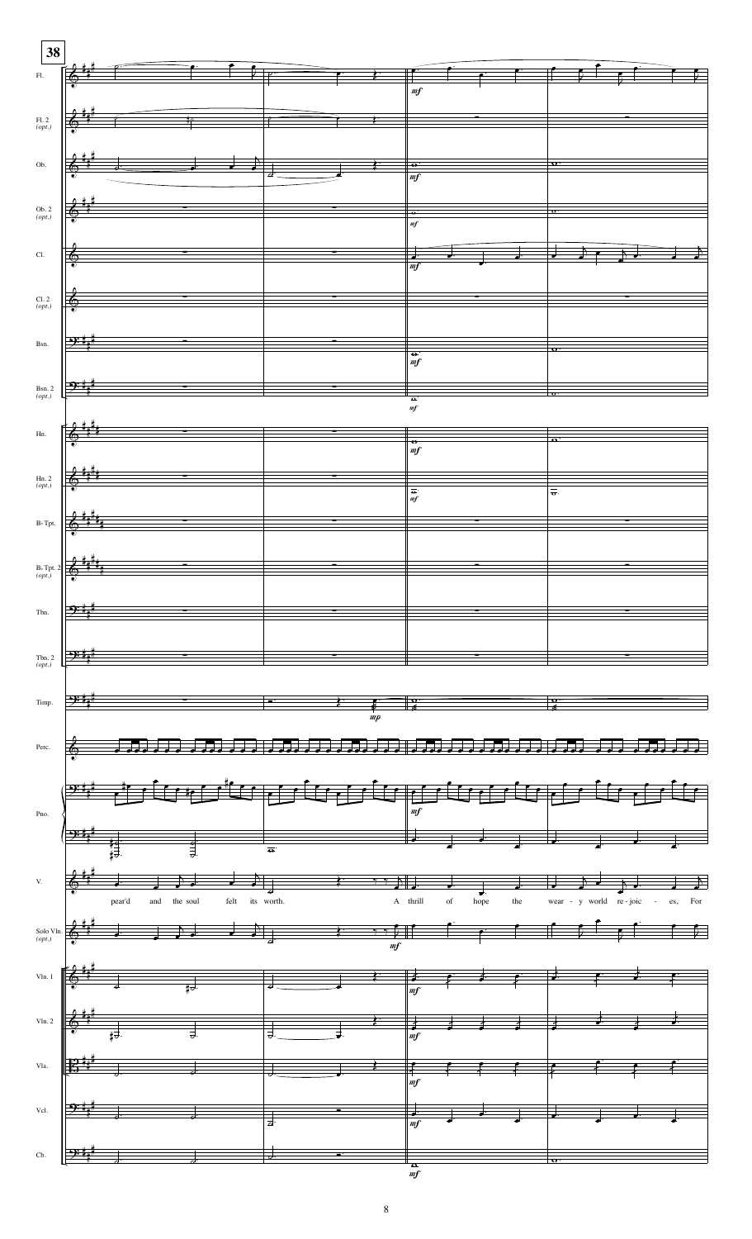

8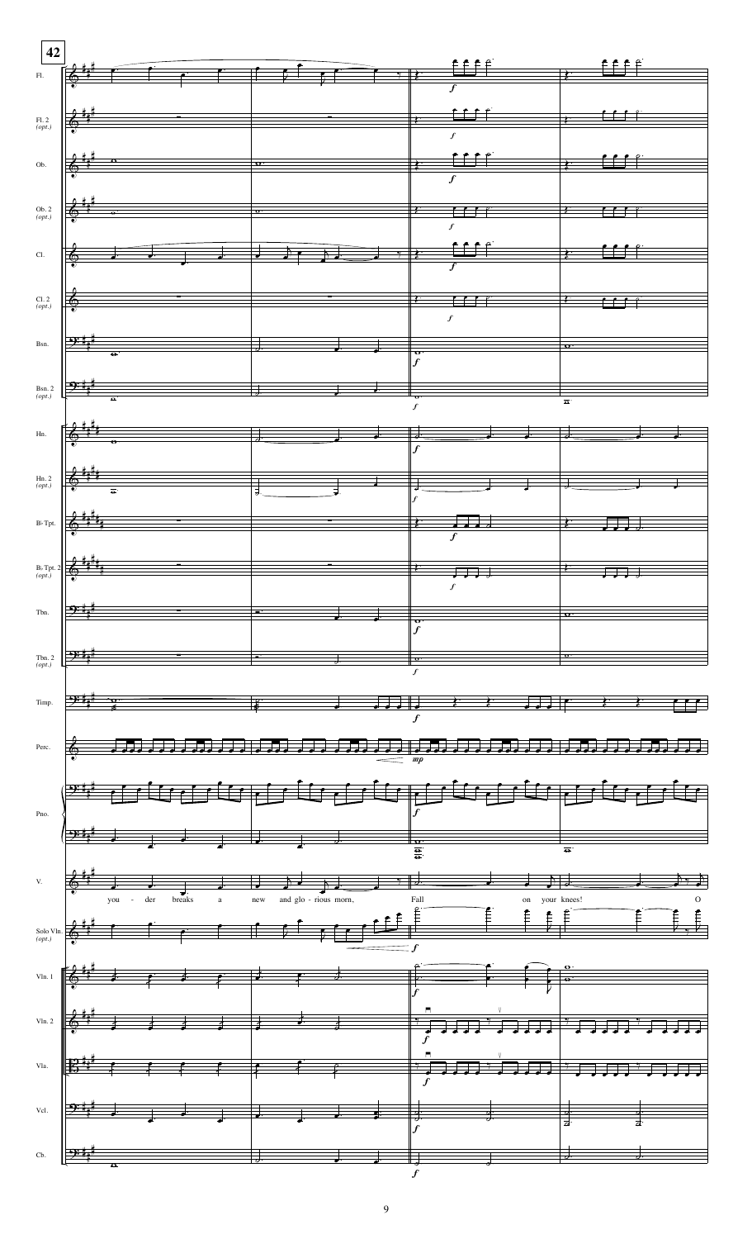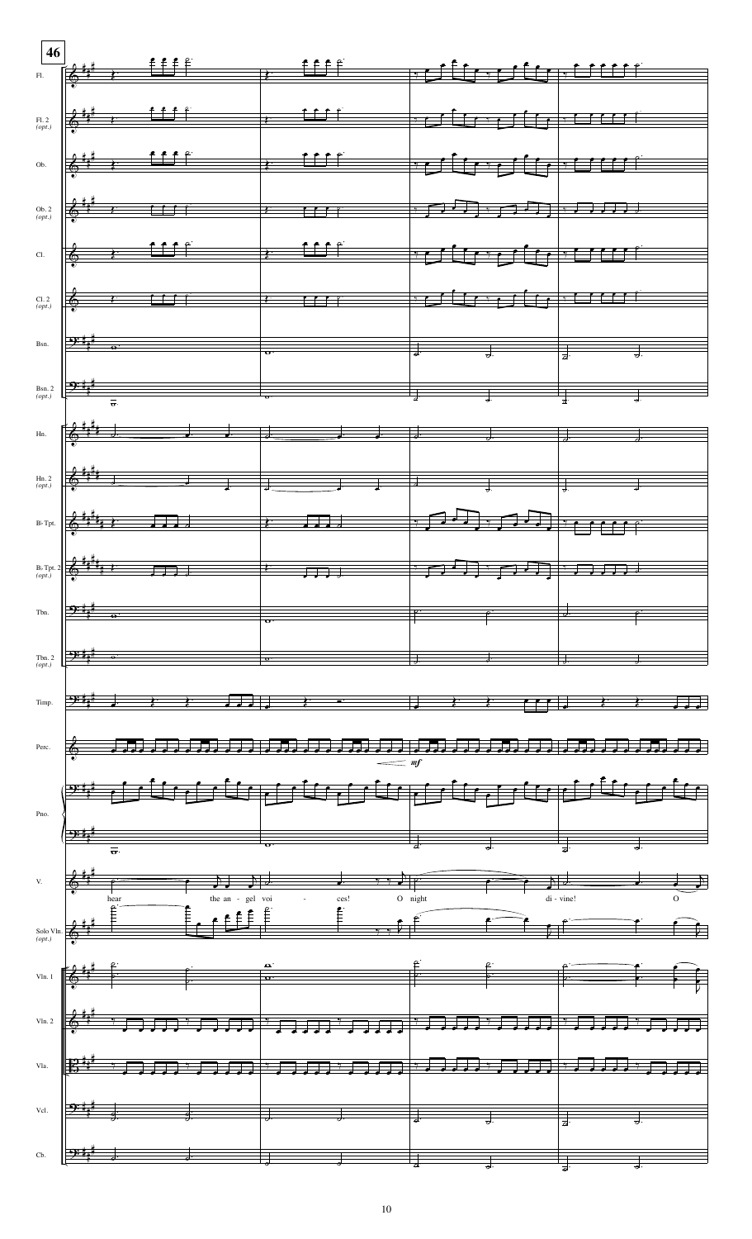|                      | $\begin{picture}(180,10) \put(0,0){\vector(1,0){100}} \put(10,0){\vector(1,0){100}} \put(10,0){\vector(1,0){100}} \put(10,0){\vector(1,0){100}} \put(10,0){\vector(1,0){100}} \put(10,0){\vector(1,0){100}} \put(10,0){\vector(1,0){100}} \put(10,0){\vector(1,0){100}} \put(10,0){\vector(1,0){100}} \put(10,0){\vector(1,0){100}} \put(10,0){\vector(1,0){100}}$                                                                                                                                                                                                                                                                                                        |                          |  |  |
|----------------------|---------------------------------------------------------------------------------------------------------------------------------------------------------------------------------------------------------------------------------------------------------------------------------------------------------------------------------------------------------------------------------------------------------------------------------------------------------------------------------------------------------------------------------------------------------------------------------------------------------------------------------------------------------------------------|--------------------------|--|--|
|                      |                                                                                                                                                                                                                                                                                                                                                                                                                                                                                                                                                                                                                                                                           |                          |  |  |
| FL. 2<br>(opt.)      | $\bigg\downarrow \bigg\downarrow^{\sharp}$ , the set of the set of $\bigg\downarrow$ , and if $\bigg\downarrow$ , and if $\bigg\downarrow$ , and if $\bigg\downarrow$                                                                                                                                                                                                                                                                                                                                                                                                                                                                                                     |                          |  |  |
|                      |                                                                                                                                                                                                                                                                                                                                                                                                                                                                                                                                                                                                                                                                           |                          |  |  |
|                      |                                                                                                                                                                                                                                                                                                                                                                                                                                                                                                                                                                                                                                                                           |                          |  |  |
|                      |                                                                                                                                                                                                                                                                                                                                                                                                                                                                                                                                                                                                                                                                           |                          |  |  |
|                      | $\begin{array}{ccccc} 0 & 0 & 0 & 0 & 0 \\ 0 & 0 & 0 & 0 & 0 \\ 0 & 0 & 0 & 0 & 0 \\ \end{array}$                                                                                                                                                                                                                                                                                                                                                                                                                                                                                                                                                                         |                          |  |  |
| CL                   |                                                                                                                                                                                                                                                                                                                                                                                                                                                                                                                                                                                                                                                                           |                          |  |  |
|                      |                                                                                                                                                                                                                                                                                                                                                                                                                                                                                                                                                                                                                                                                           |                          |  |  |
|                      |                                                                                                                                                                                                                                                                                                                                                                                                                                                                                                                                                                                                                                                                           |                          |  |  |
|                      |                                                                                                                                                                                                                                                                                                                                                                                                                                                                                                                                                                                                                                                                           |                          |  |  |
|                      | Bsn. $\frac{\partial \vec{y} \cdot \vec{y}}{\partial x}$ and $\frac{\partial \vec{y}}{\partial y}$ and $\frac{\partial \vec{y}}{\partial z}$ and $\frac{\partial \vec{y}}{\partial x}$ and $\frac{\partial \vec{y}}{\partial y}$ and $\frac{\partial \vec{y}}{\partial z}$ and $\frac{\partial \vec{y}}{\partial x}$ and $\frac{\partial \vec{y}}{\partial y}$ and $\frac{\partial \vec{y}}{\partial z}$ and $\frac{\partial \vec{y}}{\partial x}$ and $\frac{\partial \vec{y$                                                                                                                                                                                            |                          |  |  |
|                      |                                                                                                                                                                                                                                                                                                                                                                                                                                                                                                                                                                                                                                                                           |                          |  |  |
|                      | Bsn. 2 $\frac{3x+1}{(opt)}$                                                                                                                                                                                                                                                                                                                                                                                                                                                                                                                                                                                                                                               |                          |  |  |
|                      |                                                                                                                                                                                                                                                                                                                                                                                                                                                                                                                                                                                                                                                                           |                          |  |  |
|                      | $Hn.$ $\left[\begin{array}{ccc} \frac{\partial}{\partial y} & \frac{\partial}{\partial y} & \frac{\partial}{\partial z} & \frac{\partial}{\partial z} & \frac{\partial}{\partial z} & \frac{\partial}{\partial z} & \frac{\partial}{\partial z} & \frac{\partial}{\partial z} & \frac{\partial}{\partial z} & \frac{\partial}{\partial z} & \frac{\partial}{\partial z} & \frac{\partial}{\partial z} & \frac{\partial}{\partial z} & \frac{\partial}{\partial z} & \frac{\partial}{\partial z} & \frac{\partial}{\partial z} & \frac{\partial}{\partial z} & \frac{\partial}{\partial z} & \frac{\partial}{\partial z} & \frac{\partial}{\partial z} & \frac{\partial}{$ |                          |  |  |
|                      |                                                                                                                                                                                                                                                                                                                                                                                                                                                                                                                                                                                                                                                                           |                          |  |  |
|                      | $\lim_{\text{top1}}$ 2 $\frac{1}{2}$ $\frac{1}{2}$ $\frac{1}{2}$ $\frac{1}{2}$ $\frac{1}{2}$ $\frac{1}{2}$ $\frac{1}{2}$ $\frac{1}{2}$ $\frac{1}{2}$ $\frac{1}{2}$ $\frac{1}{2}$ $\frac{1}{2}$ $\frac{1}{2}$ $\frac{1}{2}$                                                                                                                                                                                                                                                                                                                                                                                                                                                |                          |  |  |
|                      | $B_3$ Tpt. $\left \frac{2}{3}+\frac{4}{3}+\frac{4}{3}+\frac{1}{3}+\frac{1}{3}+\frac{1}{3}+\frac{1}{3}+\frac{1}{3}+\frac{1}{3}+\frac{1}{3}+\frac{1}{3}+\frac{1}{3}+\frac{1}{3}+\frac{1}{3}+\frac{1}{3}+\frac{1}{3}+\frac{1}{3}+\frac{1}{3}+\frac{1}{3}+\frac{1}{3}+\frac{1}{3}+\frac{1}{3}+\frac{1}{3}+\frac{1}{3}+\frac{1}{3}+\frac{1}{3}+\frac{1}{3}+\frac{1}{3}+\frac{1}{3}+\frac{1$                                                                                                                                                                                                                                                                                    |                          |  |  |
|                      |                                                                                                                                                                                                                                                                                                                                                                                                                                                                                                                                                                                                                                                                           |                          |  |  |
|                      | $B_3$ Tpt. 2 $\left  \begin{array}{ccc} \frac{1}{2} & \frac{1}{2} & \frac{1}{2} & \frac{1}{2} \\ \frac{1}{2} & \frac{1}{2} & \frac{1}{2} & \frac{1}{2} \\ \frac{1}{2} & \frac{1}{2} & \frac{1}{2} & \frac{1}{2} \end{array} \right $                                                                                                                                                                                                                                                                                                                                                                                                                                      |                          |  |  |
|                      |                                                                                                                                                                                                                                                                                                                                                                                                                                                                                                                                                                                                                                                                           |                          |  |  |
|                      |                                                                                                                                                                                                                                                                                                                                                                                                                                                                                                                                                                                                                                                                           |                          |  |  |
|                      |                                                                                                                                                                                                                                                                                                                                                                                                                                                                                                                                                                                                                                                                           |                          |  |  |
| Tbn. 2<br>( $opt$ .) |                                                                                                                                                                                                                                                                                                                                                                                                                                                                                                                                                                                                                                                                           |                          |  |  |
|                      |                                                                                                                                                                                                                                                                                                                                                                                                                                                                                                                                                                                                                                                                           |                          |  |  |
|                      |                                                                                                                                                                                                                                                                                                                                                                                                                                                                                                                                                                                                                                                                           | $\overline{\phantom{a}}$ |  |  |
|                      |                                                                                                                                                                                                                                                                                                                                                                                                                                                                                                                                                                                                                                                                           |                          |  |  |
|                      | $\delta$ and the state of the state of the state of the state                                                                                                                                                                                                                                                                                                                                                                                                                                                                                                                                                                                                             |                          |  |  |
|                      | والمستنق فسأنسخ المستوقف والمستوقف والمستوقف والمستوقف والمستوقف والمستوقف والمستوقف                                                                                                                                                                                                                                                                                                                                                                                                                                                                                                                                                                                      |                          |  |  |
|                      |                                                                                                                                                                                                                                                                                                                                                                                                                                                                                                                                                                                                                                                                           |                          |  |  |
|                      | $\begin{array}{ c c c c }\hline \rule{0pt}{16pt} \multicolumn{3}{ c }{\textbf{O}}\end{array}$                                                                                                                                                                                                                                                                                                                                                                                                                                                                                                                                                                             |                          |  |  |
|                      |                                                                                                                                                                                                                                                                                                                                                                                                                                                                                                                                                                                                                                                                           |                          |  |  |
|                      |                                                                                                                                                                                                                                                                                                                                                                                                                                                                                                                                                                                                                                                                           |                          |  |  |
|                      |                                                                                                                                                                                                                                                                                                                                                                                                                                                                                                                                                                                                                                                                           |                          |  |  |
|                      | $\frac{1}{\text{Solo VIn.}}$                                                                                                                                                                                                                                                                                                                                                                                                                                                                                                                                                                                                                                              |                          |  |  |
|                      |                                                                                                                                                                                                                                                                                                                                                                                                                                                                                                                                                                                                                                                                           |                          |  |  |
|                      | $\text{VIn.1} \begin{picture}(100,10) \put(0,0){\vector(1,0){100}} \put(15,0){\vector(1,0){100}} \put(15,0){\vector(1,0){100}} \put(15,0){\vector(1,0){100}} \put(15,0){\vector(1,0){100}} \put(15,0){\vector(1,0){100}} \put(15,0){\vector(1,0){100}} \put(15,0){\vector(1,0){100}} \put(15,0){\vector(1,0){100}} \put(15,0){\vector(1,0){100}} \put(15,0){\vector($                                                                                                                                                                                                                                                                                                     |                          |  |  |
|                      |                                                                                                                                                                                                                                                                                                                                                                                                                                                                                                                                                                                                                                                                           |                          |  |  |
|                      |                                                                                                                                                                                                                                                                                                                                                                                                                                                                                                                                                                                                                                                                           |                          |  |  |
|                      |                                                                                                                                                                                                                                                                                                                                                                                                                                                                                                                                                                                                                                                                           |                          |  |  |
|                      | $\left(\mathbb{B}^{\frac{p+1}{2}} \rightarrow \mathbb{F} \rightarrow \mathbb{F} \rightarrow \mathbb{F} \rightarrow \mathbb{F} \rightarrow \mathbb{F} \rightarrow \mathbb{F} \rightarrow \mathbb{F} \rightarrow \mathbb{F} \rightarrow \mathbb{F} \rightarrow \mathbb{F} \rightarrow \mathbb{F} \rightarrow \mathbb{F} \rightarrow \mathbb{F} \rightarrow \mathbb{F} \rightarrow \mathbb{F} \rightarrow \mathbb{F} \rightarrow \mathbb{F} \rightarrow \mathbb{F} \rightarrow \mathbb{F} \rightarrow \mathbb{F} \rightarrow \mathbb{F} \rightarrow \mathbb{F} \rightarrow \mathbb{F} \rightarrow \mathbb{F} \rightarrow \mathbb{F} \rightarrow$                             |                          |  |  |
|                      |                                                                                                                                                                                                                                                                                                                                                                                                                                                                                                                                                                                                                                                                           |                          |  |  |
|                      | $\frac{1}{3}$ , $\frac{1}{3}$ , $\frac{1}{3}$ , $\frac{1}{3}$ , $\frac{1}{3}$ , $\frac{1}{3}$ , $\frac{1}{3}$ , $\frac{1}{3}$ , $\frac{1}{3}$ , $\frac{1}{3}$ , $\frac{1}{3}$ , $\frac{1}{3}$ , $\frac{1}{3}$ , $\frac{1}{3}$ , $\frac{1}{3}$ , $\frac{1}{3}$ , $\frac{1}{3}$ , $\frac{1}{3}$ , $\frac{1$                                                                                                                                                                                                                                                                                                                                                                 |                          |  |  |
| $\mathrm{Cb.}$       |                                                                                                                                                                                                                                                                                                                                                                                                                                                                                                                                                                                                                                                                           |                          |  |  |
|                      |                                                                                                                                                                                                                                                                                                                                                                                                                                                                                                                                                                                                                                                                           |                          |  |  |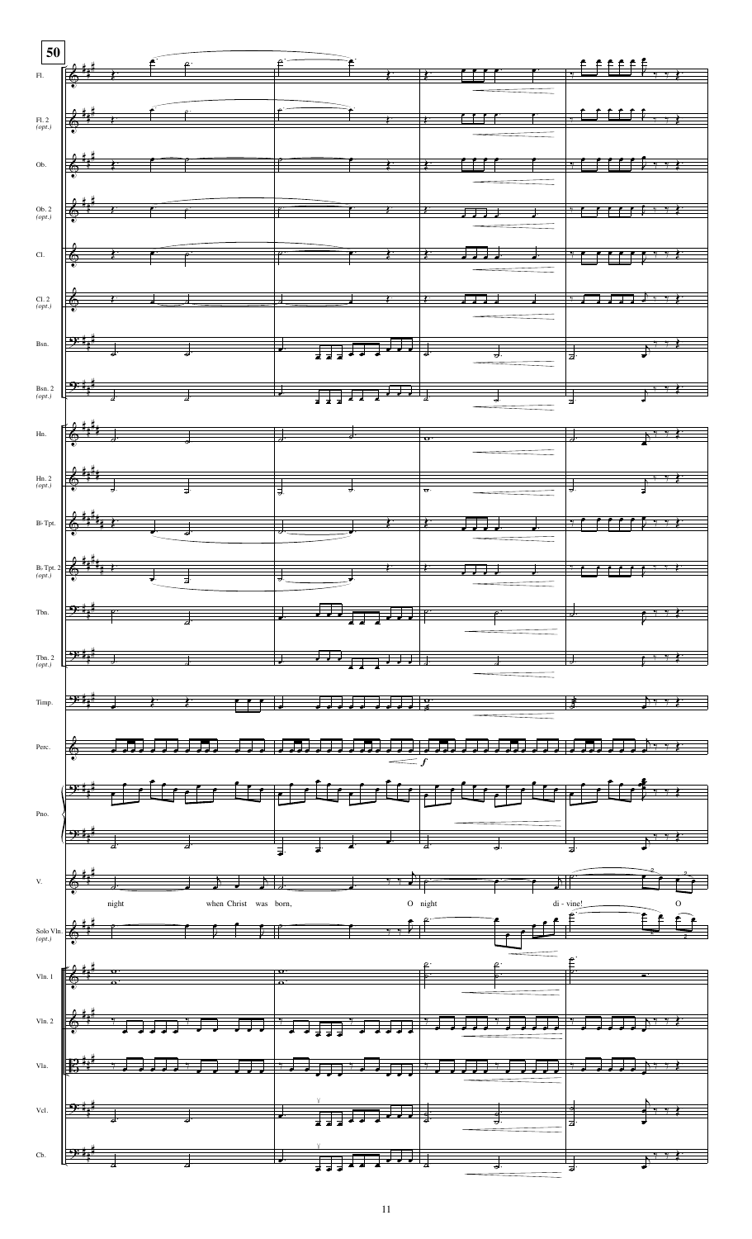